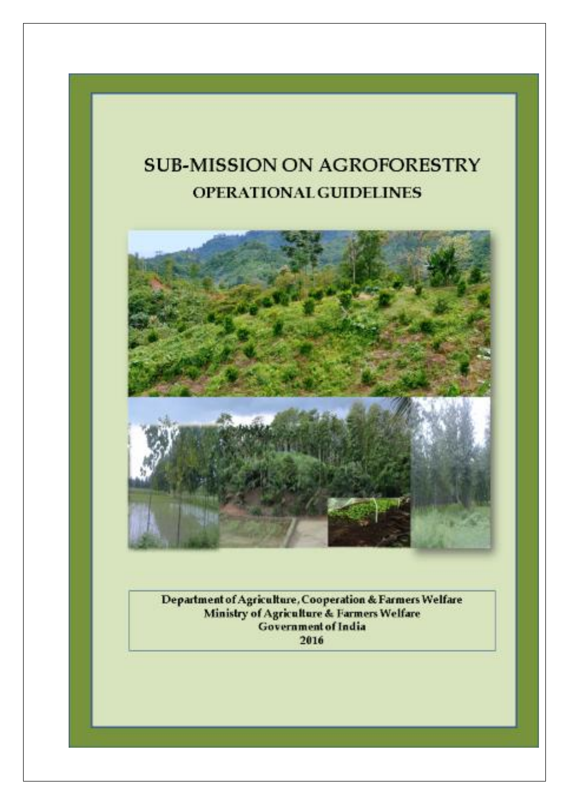# **SUB-MISSION ON AGROFORESTRY** OPERATIONAL GUIDELINES



Department of Agriculture, Cooperation & Farmers Welfare<br>Ministry of Agriculture & Farmers Welfare Government of India 2016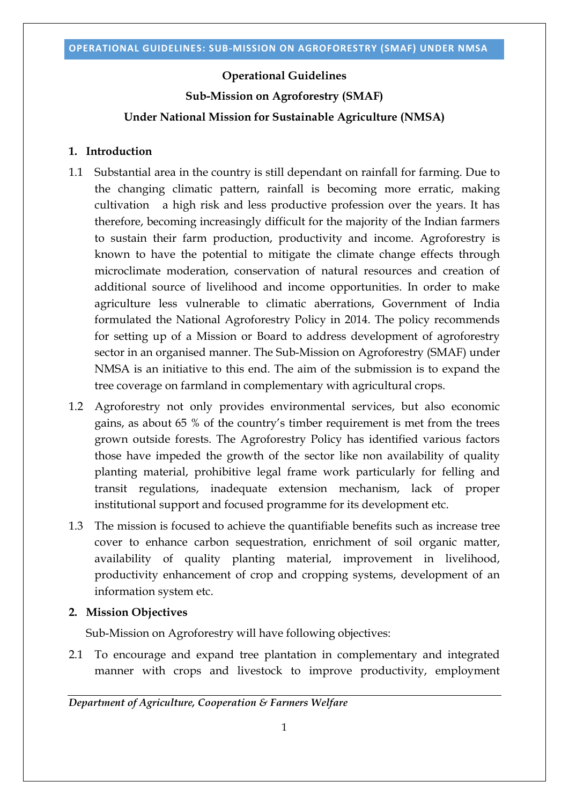#### **Operational Guidelines**

**Sub-Mission on Agroforestry (SMAF)**

#### **Under National Mission for Sustainable Agriculture (NMSA)**

### **1. Introduction**

- 1.1 Substantial area in the country is still dependant on rainfall for farming. Due to the changing climatic pattern, rainfall is becoming more erratic, making cultivation a high risk and less productive profession over the years. It has therefore, becoming increasingly difficult for the majority of the Indian farmers to sustain their farm production, productivity and income. Agroforestry is known to have the potential to mitigate the climate change effects through microclimate moderation, conservation of natural resources and creation of additional source of livelihood and income opportunities. In order to make agriculture less vulnerable to climatic aberrations, Government of India formulated the National Agroforestry Policy in 2014. The policy recommends for setting up of a Mission or Board to address development of agroforestry sector in an organised manner. The Sub-Mission on Agroforestry (SMAF) under NMSA is an initiative to this end. The aim of the submission is to expand the tree coverage on farmland in complementary with agricultural crops.
- 1.2 Agroforestry not only provides environmental services, but also economic gains, as about 65 % of the country's timber requirement is met from the trees grown outside forests. The Agroforestry Policy has identified various factors those have impeded the growth of the sector like non availability of quality planting material, prohibitive legal frame work particularly for felling and transit regulations, inadequate extension mechanism, lack of proper institutional support and focused programme for its development etc.
- 1.3 The mission is focused to achieve the quantifiable benefits such as increase tree cover to enhance carbon sequestration, enrichment of soil organic matter, availability of quality planting material, improvement in livelihood, productivity enhancement of crop and cropping systems, development of an information system etc.

#### **2. Mission Objectives**

Sub-Mission on Agroforestry will have following objectives:

2.1 To encourage and expand tree plantation in complementary and integrated manner with crops and livestock to improve productivity, employment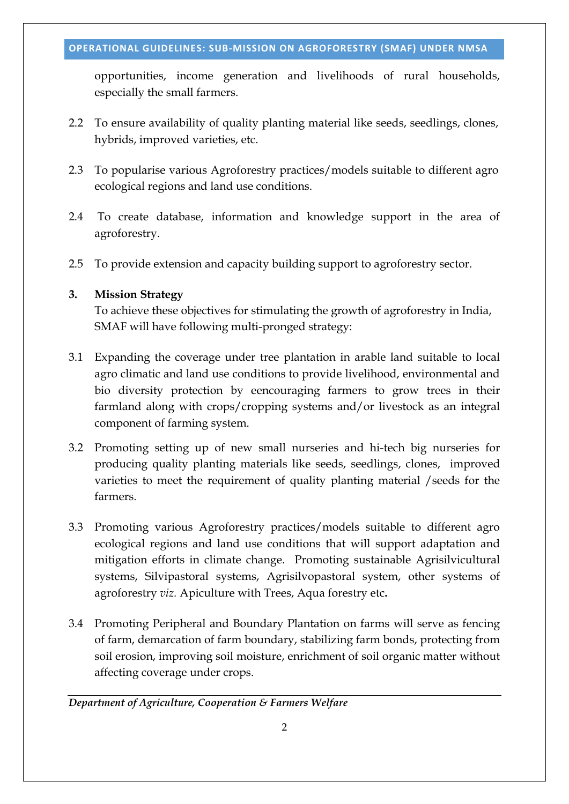opportunities, income generation and livelihoods of rural households, especially the small farmers.

- 2.2 To ensure availability of quality planting material like seeds, seedlings, clones, hybrids, improved varieties, etc.
- 2.3 To popularise various Agroforestry practices/models suitable to different agro ecological regions and land use conditions.
- 2.4 To create database, information and knowledge support in the area of agroforestry.
- 2.5 To provide extension and capacity building support to agroforestry sector.

# **3. Mission Strategy**

To achieve these objectives for stimulating the growth of agroforestry in India, SMAF will have following multi-pronged strategy:

- 3.1 Expanding the coverage under tree plantation in arable land suitable to local agro climatic and land use conditions to provide livelihood, environmental and bio diversity protection by eencouraging farmers to grow trees in their farmland along with crops/cropping systems and/or livestock as an integral component of farming system.
- 3.2 Promoting setting up of new small nurseries and hi-tech big nurseries for producing quality planting materials like seeds, seedlings, clones, improved varieties to meet the requirement of quality planting material /seeds for the farmers.
- 3.3 Promoting various Agroforestry practices/models suitable to different agro ecological regions and land use conditions that will support adaptation and mitigation efforts in climate change. Promoting sustainable Agrisilvicultural systems, Silvipastoral systems, Agrisilvopastoral system, other systems of agroforestry *viz.* Apiculture with Trees, Aqua forestry etc**.**
- 3.4 Promoting Peripheral and Boundary Plantation on farms will serve as fencing of farm, demarcation of farm boundary, stabilizing farm bonds, protecting from soil erosion, improving soil moisture, enrichment of soil organic matter without affecting coverage under crops.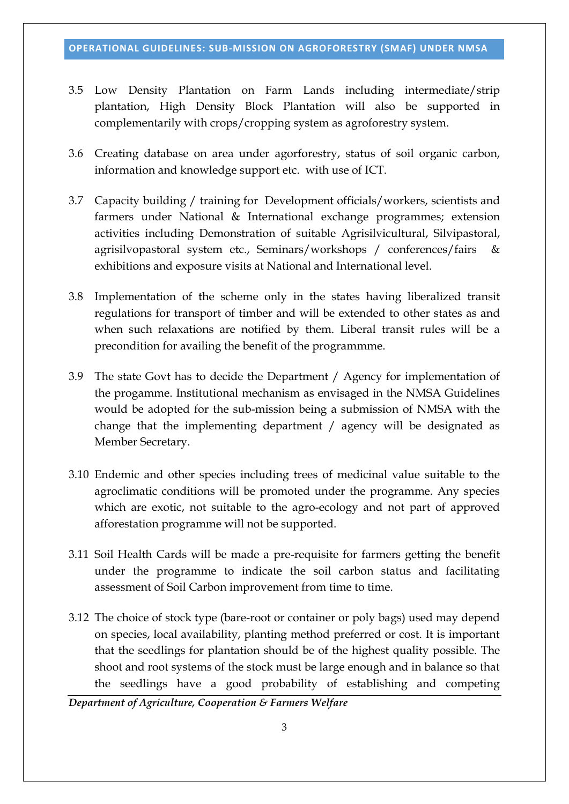- 3.5 Low Density Plantation on Farm Lands including intermediate/strip plantation, High Density Block Plantation will also be supported in complementarily with crops/cropping system as agroforestry system.
- 3.6 Creating database on area under agorforestry, status of soil organic carbon, information and knowledge support etc. with use of ICT.
- 3.7 Capacity building / training for Development officials/workers, scientists and farmers under National & International exchange programmes; extension activities including Demonstration of suitable Agrisilvicultural, Silvipastoral, agrisilvopastoral system etc., Seminars/workshops / conferences/fairs & exhibitions and exposure visits at National and International level.
- 3.8 Implementation of the scheme only in the states having liberalized transit regulations for transport of timber and will be extended to other states as and when such relaxations are notified by them. Liberal transit rules will be a precondition for availing the benefit of the programmme.
- 3.9 The state Govt has to decide the Department / Agency for implementation of the progamme. Institutional mechanism as envisaged in the NMSA Guidelines would be adopted for the sub-mission being a submission of NMSA with the change that the implementing department / agency will be designated as Member Secretary.
- 3.10 Endemic and other species including trees of medicinal value suitable to the agroclimatic conditions will be promoted under the programme. Any species which are exotic, not suitable to the agro-ecology and not part of approved afforestation programme will not be supported.
- 3.11 Soil Health Cards will be made a pre-requisite for farmers getting the benefit under the programme to indicate the soil carbon status and facilitating assessment of Soil Carbon improvement from time to time.
- 3.12 The choice of stock type (bare-root or container or poly bags) used may depend on species, local availability, planting method preferred or cost. It is important that the seedlings for plantation should be of the highest quality possible. The shoot and root systems of the stock must be large enough and in balance so that the seedlings have a good probability of establishing and competing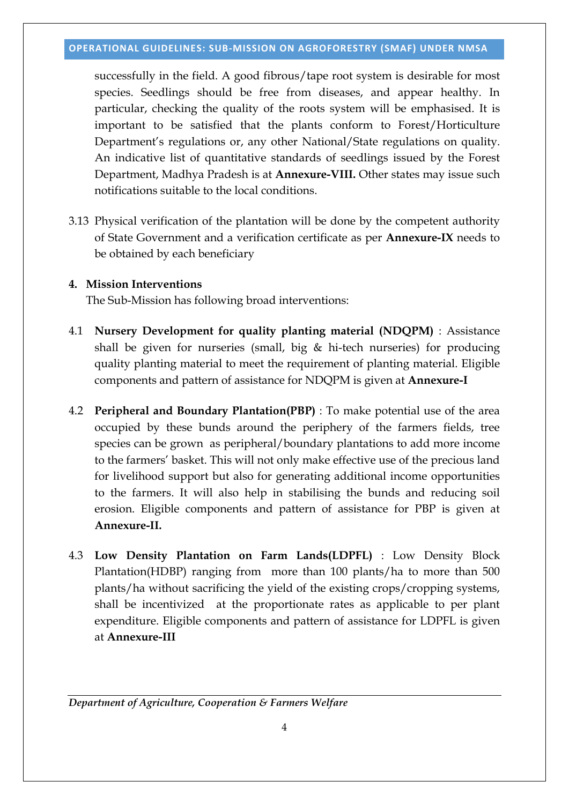successfully in the field. A good fibrous/tape root system is desirable for most species. Seedlings should be free from diseases, and appear healthy. In particular, checking the quality of the roots system will be emphasised. It is important to be satisfied that the plants conform to Forest/Horticulture Department's regulations or, any other National/State regulations on quality. An indicative list of quantitative standards of seedlings issued by the Forest Department, Madhya Pradesh is at **Annexure-VIII.** Other states may issue such notifications suitable to the local conditions.

3.13 Physical verification of the plantation will be done by the competent authority of State Government and a verification certificate as per **Annexure-IX** needs to be obtained by each beneficiary

## **4. Mission Interventions**

The Sub-Mission has following broad interventions:

- 4.1 **Nursery Development for quality planting material (NDQPM)** : Assistance shall be given for nurseries (small, big  $\&$  hi-tech nurseries) for producing quality planting material to meet the requirement of planting material. Eligible components and pattern of assistance for NDQPM is given at **Annexure-I**
- 4.2 **Peripheral and Boundary Plantation(PBP)** : To make potential use of the area occupied by these bunds around the periphery of the farmers fields, tree species can be grown as peripheral/boundary plantations to add more income to the farmers' basket. This will not only make effective use of the precious land for livelihood support but also for generating additional income opportunities to the farmers. It will also help in stabilising the bunds and reducing soil erosion. Eligible components and pattern of assistance for PBP is given at **Annexure-II.**
- 4.3 **Low Density Plantation on Farm Lands(LDPFL)** : Low Density Block Plantation(HDBP) ranging from more than 100 plants/ha to more than 500 plants/ha without sacrificing the yield of the existing crops/cropping systems, shall be incentivized at the proportionate rates as applicable to per plant expenditure. Eligible components and pattern of assistance for LDPFL is given at **Annexure-III**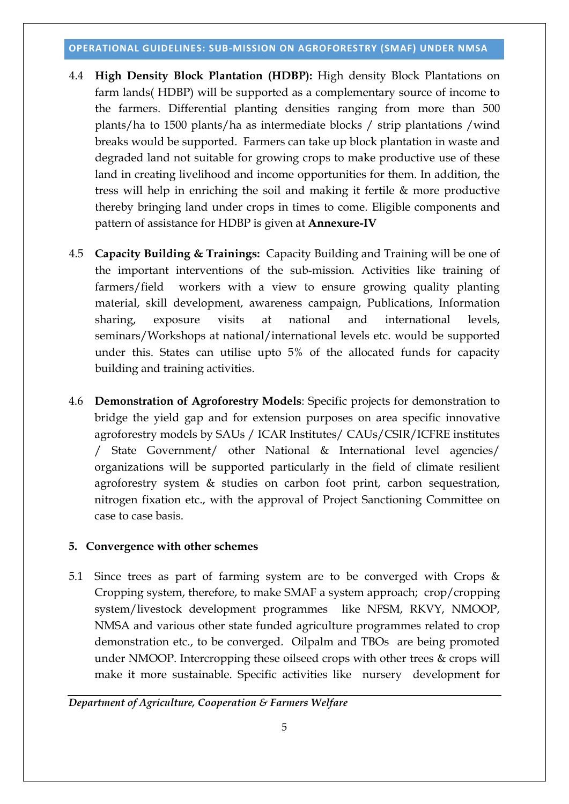- 4.4 **High Density Block Plantation (HDBP):** High density Block Plantations on farm lands( HDBP) will be supported as a complementary source of income to the farmers. Differential planting densities ranging from more than 500 plants/ha to 1500 plants/ha as intermediate blocks / strip plantations /wind breaks would be supported. Farmers can take up block plantation in waste and degraded land not suitable for growing crops to make productive use of these land in creating livelihood and income opportunities for them. In addition, the tress will help in enriching the soil and making it fertile & more productive thereby bringing land under crops in times to come. Eligible components and pattern of assistance for HDBP is given at **Annexure-IV**
- 4.5 **Capacity Building & Trainings:** Capacity Building and Training will be one of the important interventions of the sub-mission. Activities like training of farmers/field workers with a view to ensure growing quality planting material, skill development, awareness campaign, Publications, Information sharing, exposure visits at national and international levels, seminars/Workshops at national/international levels etc. would be supported under this. States can utilise upto 5% of the allocated funds for capacity building and training activities.
- 4.6 **Demonstration of Agroforestry Models**: Specific projects for demonstration to bridge the yield gap and for extension purposes on area specific innovative agroforestry models by SAUs / ICAR Institutes/ CAUs/CSIR/ICFRE institutes / State Government/ other National & International level agencies/ organizations will be supported particularly in the field of climate resilient agroforestry system & studies on carbon foot print, carbon sequestration, nitrogen fixation etc., with the approval of Project Sanctioning Committee on case to case basis.

# **5. Convergence with other schemes**

5.1 Since trees as part of farming system are to be converged with Crops & Cropping system, therefore, to make SMAF a system approach; crop/cropping system/livestock development programmes like NFSM, RKVY, NMOOP, NMSA and various other state funded agriculture programmes related to crop demonstration etc., to be converged. Oilpalm and TBOs are being promoted under NMOOP. Intercropping these oilseed crops with other trees & crops will make it more sustainable. Specific activities like nursery development for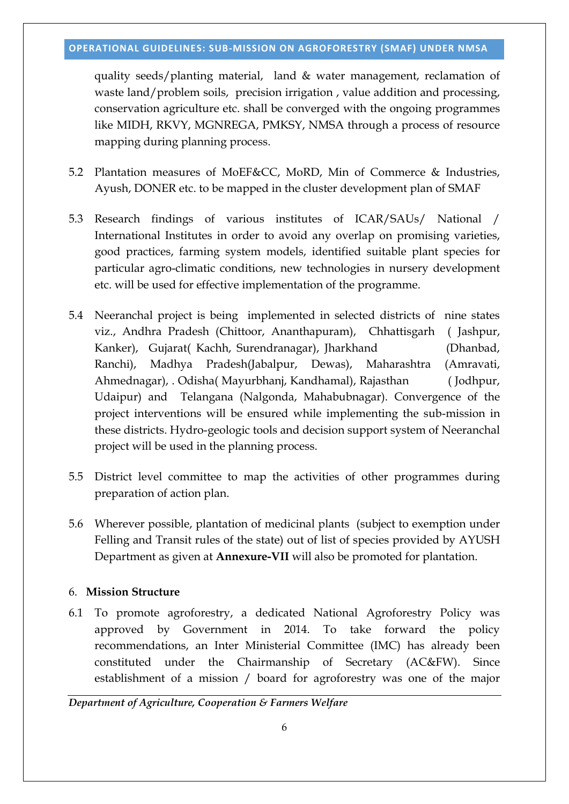quality seeds/planting material, land & water management, reclamation of waste land/problem soils, precision irrigation, value addition and processing, conservation agriculture etc. shall be converged with the ongoing programmes like MIDH, RKVY, MGNREGA, PMKSY, NMSA through a process of resource mapping during planning process.

- 5.2 Plantation measures of MoEF&CC, MoRD, Min of Commerce & Industries, Ayush, DONER etc. to be mapped in the cluster development plan of SMAF
- 5.3 Research findings of various institutes of ICAR/SAUs/ National / International Institutes in order to avoid any overlap on promising varieties, good practices, farming system models, identified suitable plant species for particular agro-climatic conditions, new technologies in nursery development etc. will be used for effective implementation of the programme.
- 5.4 Neeranchal project is being implemented in selected districts of nine states viz., Andhra Pradesh (Chittoor, Ananthapuram), Chhattisgarh ( Jashpur, Kanker), Gujarat( Kachh, Surendranagar), Jharkhand (Dhanbad, Ranchi), Madhya Pradesh(Jabalpur, Dewas), Maharashtra (Amravati, Ahmednagar), . Odisha( Mayurbhanj, Kandhamal), Rajasthan ( Jodhpur, Udaipur) and Telangana (Nalgonda, Mahabubnagar). Convergence of the project interventions will be ensured while implementing the sub-mission in these districts. Hydro-geologic tools and decision support system of Neeranchal project will be used in the planning process.
- 5.5 District level committee to map the activities of other programmes during preparation of action plan.
- 5.6 Wherever possible, plantation of medicinal plants (subject to exemption under Felling and Transit rules of the state) out of list of species provided by AYUSH Department as given at **Annexure-VII** will also be promoted for plantation.

# 6. **Mission Structure**

6.1 To promote agroforestry, a dedicated National Agroforestry Policy was approved by Government in 2014. To take forward the policy recommendations, an Inter Ministerial Committee (IMC) has already been constituted under the Chairmanship of Secretary (AC&FW). Since establishment of a mission / board for agroforestry was one of the major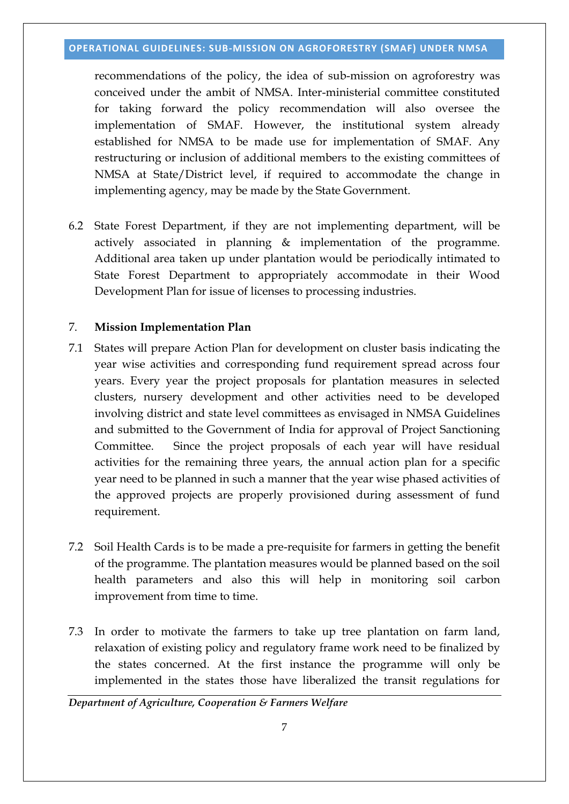recommendations of the policy, the idea of sub-mission on agroforestry was conceived under the ambit of NMSA. Inter-ministerial committee constituted for taking forward the policy recommendation will also oversee the implementation of SMAF. However, the institutional system already established for NMSA to be made use for implementation of SMAF. Any restructuring or inclusion of additional members to the existing committees of NMSA at State/District level, if required to accommodate the change in implementing agency, may be made by the State Government.

6.2 State Forest Department, if they are not implementing department, will be actively associated in planning & implementation of the programme. Additional area taken up under plantation would be periodically intimated to State Forest Department to appropriately accommodate in their Wood Development Plan for issue of licenses to processing industries.

## 7. **Mission Implementation Plan**

- 7.1 States will prepare Action Plan for development on cluster basis indicating the year wise activities and corresponding fund requirement spread across four years. Every year the project proposals for plantation measures in selected clusters, nursery development and other activities need to be developed involving district and state level committees as envisaged in NMSA Guidelines and submitted to the Government of India for approval of Project Sanctioning Committee. Since the project proposals of each year will have residual activities for the remaining three years, the annual action plan for a specific year need to be planned in such a manner that the year wise phased activities of the approved projects are properly provisioned during assessment of fund requirement.
- 7.2 Soil Health Cards is to be made a pre-requisite for farmers in getting the benefit of the programme. The plantation measures would be planned based on the soil health parameters and also this will help in monitoring soil carbon improvement from time to time.
- 7.3 In order to motivate the farmers to take up tree plantation on farm land, relaxation of existing policy and regulatory frame work need to be finalized by the states concerned. At the first instance the programme will only be implemented in the states those have liberalized the transit regulations for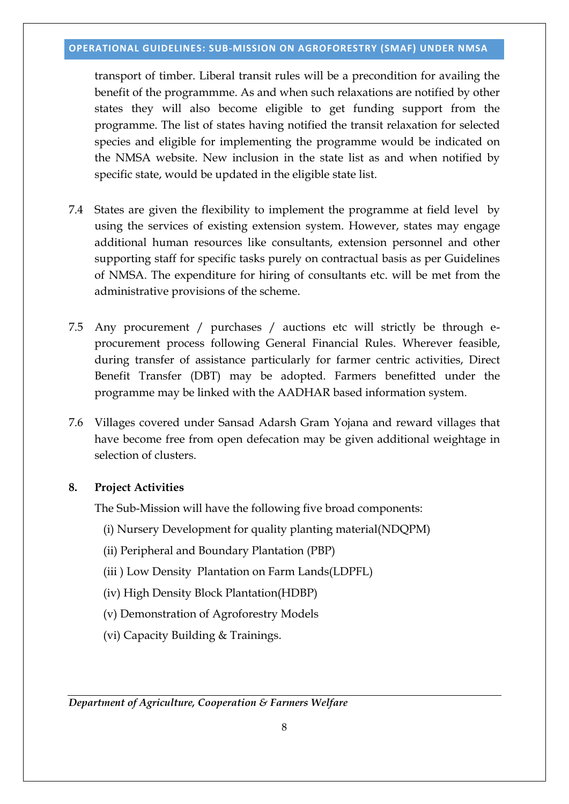transport of timber. Liberal transit rules will be a precondition for availing the benefit of the programmme. As and when such relaxations are notified by other states they will also become eligible to get funding support from the programme. The list of states having notified the transit relaxation for selected species and eligible for implementing the programme would be indicated on the NMSA website. New inclusion in the state list as and when notified by specific state, would be updated in the eligible state list.

- 7.4 States are given the flexibility to implement the programme at field level by using the services of existing extension system. However, states may engage additional human resources like consultants, extension personnel and other supporting staff for specific tasks purely on contractual basis as per Guidelines of NMSA. The expenditure for hiring of consultants etc. will be met from the administrative provisions of the scheme.
- 7.5 Any procurement / purchases / auctions etc will strictly be through eprocurement process following General Financial Rules. Wherever feasible, during transfer of assistance particularly for farmer centric activities, Direct Benefit Transfer (DBT) may be adopted. Farmers benefitted under the programme may be linked with the AADHAR based information system.
- 7.6 Villages covered under Sansad Adarsh Gram Yojana and reward villages that have become free from open defecation may be given additional weightage in selection of clusters.

## **8. Project Activities**

The Sub-Mission will have the following five broad components:

- (i) Nursery Development for quality planting material(NDQPM)
- (ii) Peripheral and Boundary Plantation (PBP)
- (iii ) Low Density Plantation on Farm Lands(LDPFL)
- (iv) High Density Block Plantation(HDBP)
- (v) Demonstration of Agroforestry Models
- (vi) Capacity Building & Trainings.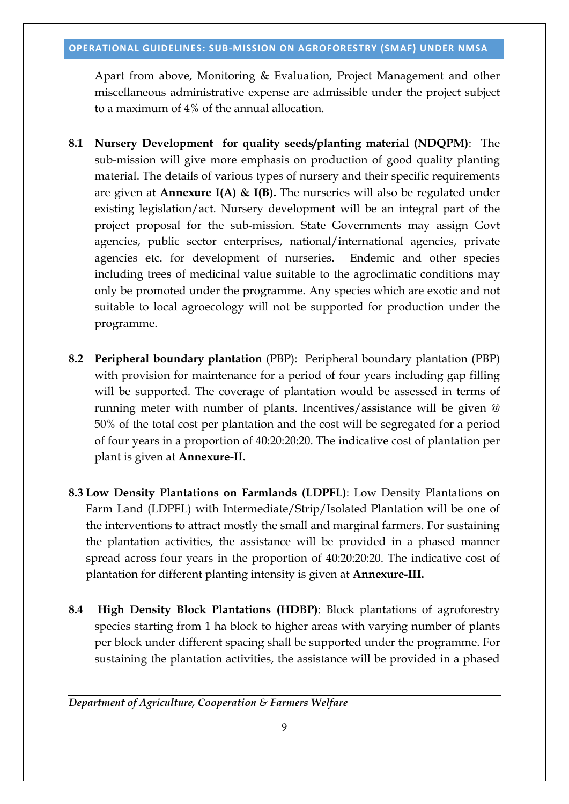Apart from above, Monitoring & Evaluation, Project Management and other miscellaneous administrative expense are admissible under the project subject to a maximum of 4% of the annual allocation.

- **8.1 Nursery Development for quality seeds/planting material (NDQPM)**: The sub-mission will give more emphasis on production of good quality planting material. The details of various types of nursery and their specific requirements are given at **Annexure I(A) & I(B).** The nurseries will also be regulated under existing legislation/act. Nursery development will be an integral part of the project proposal for the sub-mission. State Governments may assign Govt agencies, public sector enterprises, national/international agencies, private agencies etc. for development of nurseries. Endemic and other species including trees of medicinal value suitable to the agroclimatic conditions may only be promoted under the programme. Any species which are exotic and not suitable to local agroecology will not be supported for production under the programme.
- **8.2 Peripheral boundary plantation** (PBP): Peripheral boundary plantation (PBP) with provision for maintenance for a period of four years including gap filling will be supported. The coverage of plantation would be assessed in terms of running meter with number of plants. Incentives/assistance will be given @ 50% of the total cost per plantation and the cost will be segregated for a period of four years in a proportion of 40:20:20:20. The indicative cost of plantation per plant is given at **Annexure-II.**
- **8.3 Low Density Plantations on Farmlands (LDPFL)**: Low Density Plantations on Farm Land (LDPFL) with Intermediate/Strip/Isolated Plantation will be one of the interventions to attract mostly the small and marginal farmers. For sustaining the plantation activities, the assistance will be provided in a phased manner spread across four years in the proportion of 40:20:20:20. The indicative cost of plantation for different planting intensity is given at **Annexure-III.**
- **8.4 High Density Block Plantations (HDBP)**: Block plantations of agroforestry species starting from 1 ha block to higher areas with varying number of plants per block under different spacing shall be supported under the programme. For sustaining the plantation activities, the assistance will be provided in a phased

*Department of Agriculture, Cooperation & Farmers Welfare*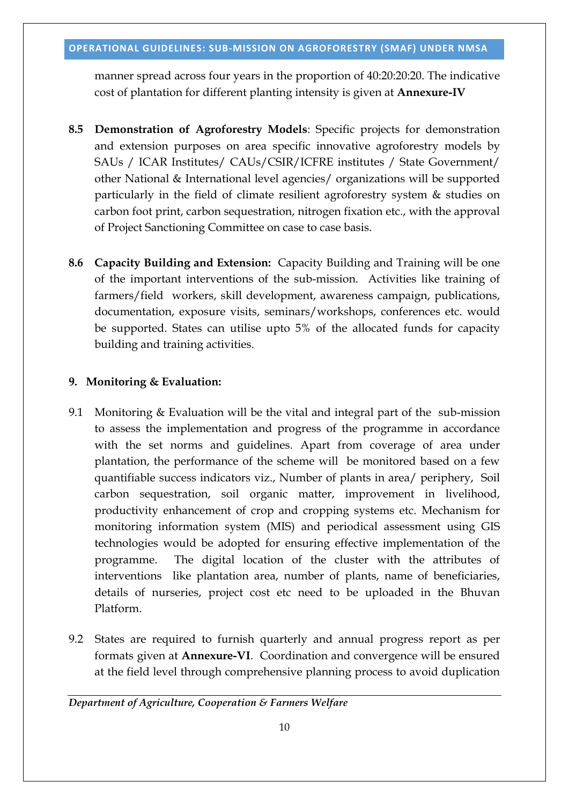manner spread across four years in the proportion of 40:20:20:20. The indicative cost of plantation for different planting intensity is given at **Annexure-IV**

- **8.5 Demonstration of Agroforestry Models**: Specific projects for demonstration and extension purposes on area specific innovative agroforestry models by SAUs / ICAR Institutes/ CAUs/CSIR/ICFRE institutes / State Government/ other National & International level agencies/ organizations will be supported particularly in the field of climate resilient agroforestry system & studies on carbon foot print, carbon sequestration, nitrogen fixation etc., with the approval of Project Sanctioning Committee on case to case basis.
- **8.6 Capacity Building and Extension:** Capacity Building and Training will be one of the important interventions of the sub-mission. Activities like training of farmers/field workers, skill development, awareness campaign, publications, documentation, exposure visits, seminars/workshops, conferences etc. would be supported. States can utilise upto 5% of the allocated funds for capacity building and training activities.

## **9. Monitoring & Evaluation:**

- 9.1 Monitoring & Evaluation will be the vital and integral part of the sub-mission to assess the implementation and progress of the programme in accordance with the set norms and guidelines. Apart from coverage of area under plantation, the performance of the scheme will be monitored based on a few quantifiable success indicators viz., Number of plants in area/ periphery, Soil carbon sequestration, soil organic matter, improvement in livelihood, productivity enhancement of crop and cropping systems etc. Mechanism for monitoring information system (MIS) and periodical assessment using GIS technologies would be adopted for ensuring effective implementation of the programme. The digital location of the cluster with the attributes of interventions like plantation area, number of plants, name of beneficiaries, details of nurseries, project cost etc need to be uploaded in the Bhuvan Platform.
- 9.2 States are required to furnish quarterly and annual progress report as per formats given at **Annexure-VI**. Coordination and convergence will be ensured at the field level through comprehensive planning process to avoid duplication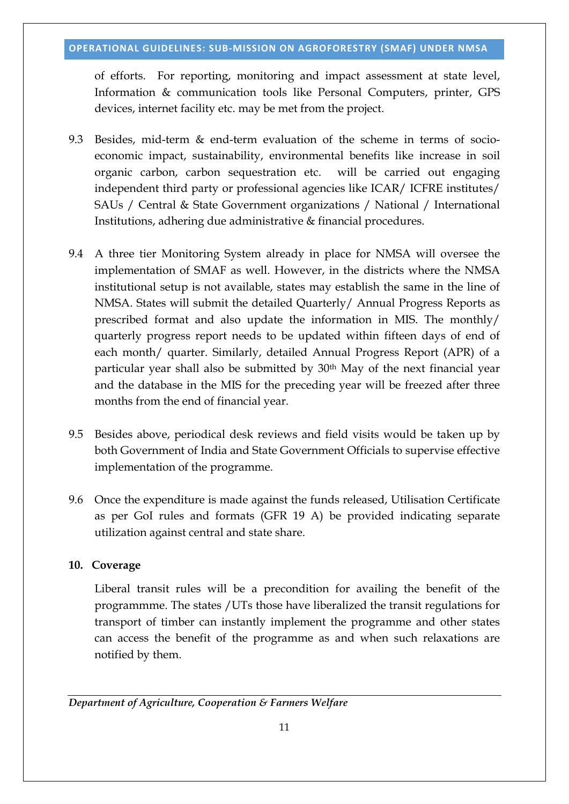of efforts. For reporting, monitoring and impact assessment at state level, Information & communication tools like Personal Computers, printer, GPS devices, internet facility etc. may be met from the project.

- 9.3 Besides, mid-term & end-term evaluation of the scheme in terms of socioeconomic impact, sustainability, environmental benefits like increase in soil organic carbon, carbon sequestration etc. will be carried out engaging independent third party or professional agencies like ICAR/ ICFRE institutes/ SAUs / Central & State Government organizations / National / International Institutions, adhering due administrative & financial procedures.
- 9.4 A three tier Monitoring System already in place for NMSA will oversee the implementation of SMAF as well. However, in the districts where the NMSA institutional setup is not available, states may establish the same in the line of NMSA. States will submit the detailed Quarterly/ Annual Progress Reports as prescribed format and also update the information in MIS. The monthly/ quarterly progress report needs to be updated within fifteen days of end of each month/ quarter. Similarly, detailed Annual Progress Report (APR) of a particular year shall also be submitted by 30th May of the next financial year and the database in the MIS for the preceding year will be freezed after three months from the end of financial year.
- 9.5 Besides above, periodical desk reviews and field visits would be taken up by both Government of India and State Government Officials to supervise effective implementation of the programme.
- 9.6 Once the expenditure is made against the funds released, Utilisation Certificate as per GoI rules and formats (GFR 19 A) be provided indicating separate utilization against central and state share.

## **10. Coverage**

Liberal transit rules will be a precondition for availing the benefit of the programmme. The states /UTs those have liberalized the transit regulations for transport of timber can instantly implement the programme and other states can access the benefit of the programme as and when such relaxations are notified by them.

*Department of Agriculture, Cooperation & Farmers Welfare*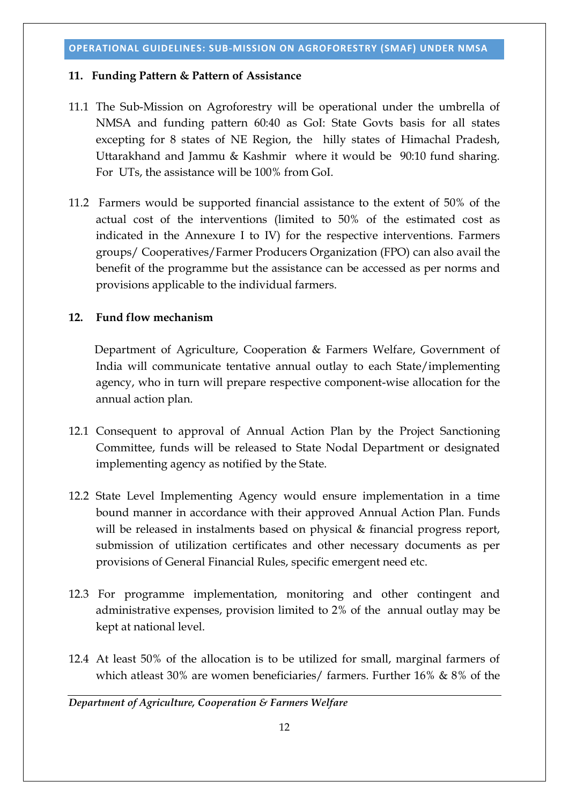### **11. Funding Pattern & Pattern of Assistance**

- 11.1 The Sub-Mission on Agroforestry will be operational under the umbrella of NMSA and funding pattern 60:40 as GoI: State Govts basis for all states excepting for 8 states of NE Region, the hilly states of Himachal Pradesh, Uttarakhand and Jammu & Kashmir where it would be 90:10 fund sharing. For UTs, the assistance will be 100% from GoI.
- 11.2 Farmers would be supported financial assistance to the extent of 50% of the actual cost of the interventions (limited to 50% of the estimated cost as indicated in the Annexure I to IV) for the respective interventions. Farmers groups/ Cooperatives/Farmer Producers Organization (FPO) can also avail the benefit of the programme but the assistance can be accessed as per norms and provisions applicable to the individual farmers.

# **12. Fund flow mechanism**

Department of Agriculture, Cooperation & Farmers Welfare, Government of India will communicate tentative annual outlay to each State/implementing agency, who in turn will prepare respective component-wise allocation for the annual action plan.

- 12.1 Consequent to approval of Annual Action Plan by the Project Sanctioning Committee, funds will be released to State Nodal Department or designated implementing agency as notified by the State.
- 12.2 State Level Implementing Agency would ensure implementation in a time bound manner in accordance with their approved Annual Action Plan. Funds will be released in instalments based on physical & financial progress report, submission of utilization certificates and other necessary documents as per provisions of General Financial Rules, specific emergent need etc.
- 12.3 For programme implementation, monitoring and other contingent and administrative expenses, provision limited to 2% of the annual outlay may be kept at national level.
- 12.4 At least 50% of the allocation is to be utilized for small, marginal farmers of which atleast 30% are women beneficiaries/ farmers. Further 16% & 8% of the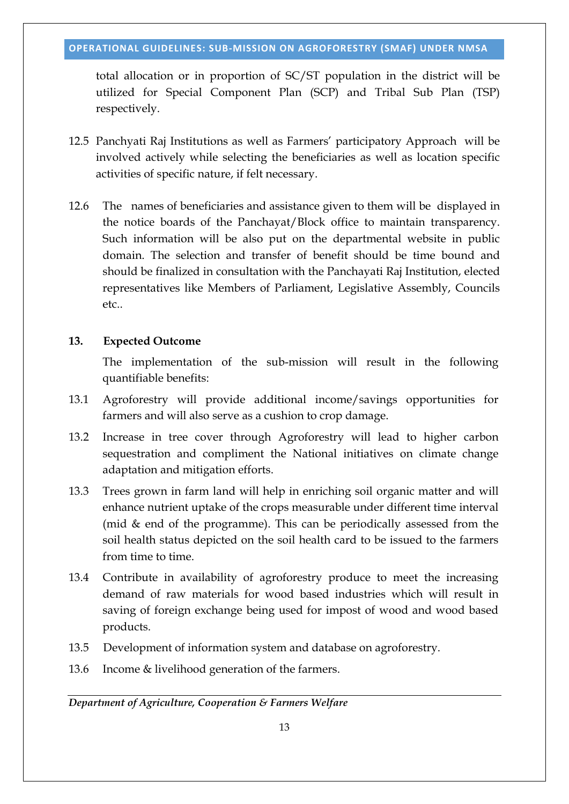total allocation or in proportion of SC/ST population in the district will be utilized for Special Component Plan (SCP) and Tribal Sub Plan (TSP) respectively.

- 12.5 Panchyati Raj Institutions as well as Farmers' participatory Approach will be involved actively while selecting the beneficiaries as well as location specific activities of specific nature, if felt necessary.
- 12.6 The names of beneficiaries and assistance given to them will be displayed in the notice boards of the Panchayat/Block office to maintain transparency. Such information will be also put on the departmental website in public domain. The selection and transfer of benefit should be time bound and should be finalized in consultation with the Panchayati Raj Institution, elected representatives like Members of Parliament, Legislative Assembly, Councils etc..

### **13. Expected Outcome**

The implementation of the sub-mission will result in the following quantifiable benefits:

- 13.1 Agroforestry will provide additional income/savings opportunities for farmers and will also serve as a cushion to crop damage.
- 13.2 Increase in tree cover through Agroforestry will lead to higher carbon sequestration and compliment the National initiatives on climate change adaptation and mitigation efforts.
- 13.3 Trees grown in farm land will help in enriching soil organic matter and will enhance nutrient uptake of the crops measurable under different time interval (mid & end of the programme). This can be periodically assessed from the soil health status depicted on the soil health card to be issued to the farmers from time to time.
- 13.4 Contribute in availability of agroforestry produce to meet the increasing demand of raw materials for wood based industries which will result in saving of foreign exchange being used for impost of wood and wood based products.
- 13.5 Development of information system and database on agroforestry.
- 13.6 Income & livelihood generation of the farmers.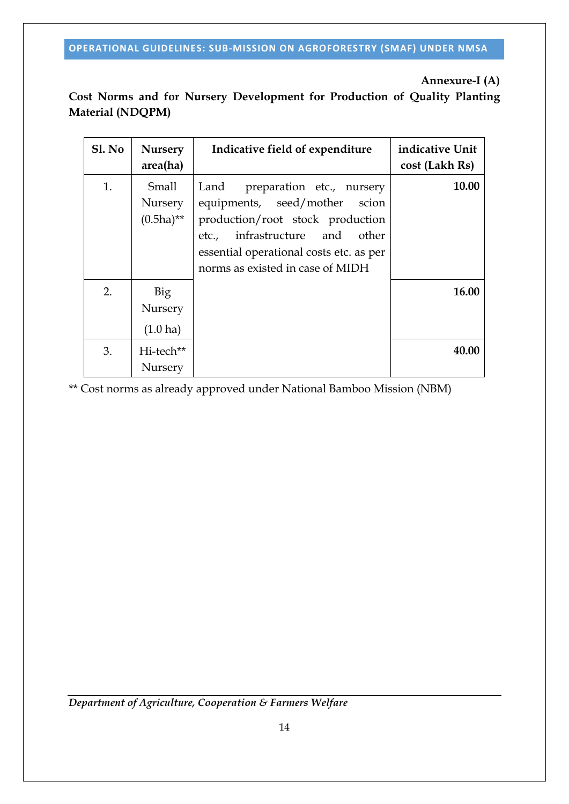# **Annexure-I (A)**

# **Cost Norms and for Nursery Development for Production of Quality Planting Material (NDQPM)**

| Sl. No | <b>Nursery</b><br>area(ha)           | Indicative field of expenditure                                                                                                                                                                                         | indicative Unit<br>cost (Lakh Rs) |
|--------|--------------------------------------|-------------------------------------------------------------------------------------------------------------------------------------------------------------------------------------------------------------------------|-----------------------------------|
| 1.     | Small<br>Nursery<br>$(0.5ha)$ **     | Land<br>preparation etc., nursery<br>equipments, seed/mother scion<br>production/root stock production<br>etc., infrastructure and other<br>essential operational costs etc. as per<br>norms as existed in case of MIDH | 10.00                             |
| 2.     | Big<br>Nursery<br>$(1.0 \text{ ha})$ |                                                                                                                                                                                                                         | 16.00                             |
| 3.     | Hi-tech**<br>Nursery                 |                                                                                                                                                                                                                         | 40.00                             |

\*\* Cost norms as already approved under National Bamboo Mission (NBM)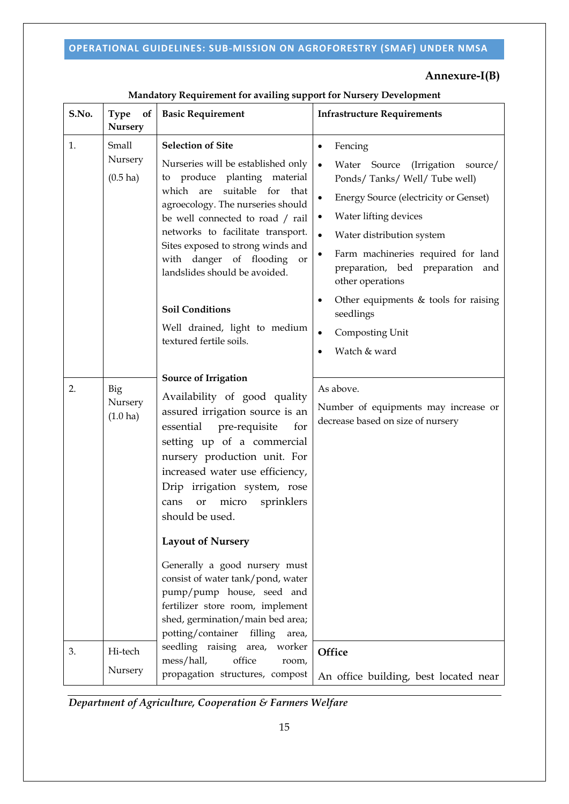# **Annexure-I(B)**

| S.No. | <b>Type</b><br>of<br><b>Nursery</b>    | <b>Basic Requirement</b>                                                                                                                                                                                                                                                                                                                                                                                                                                                                                                                                               | <b>Infrastructure Requirements</b>                                                                                                                                                                                                                                                                                                                                                                                                           |
|-------|----------------------------------------|------------------------------------------------------------------------------------------------------------------------------------------------------------------------------------------------------------------------------------------------------------------------------------------------------------------------------------------------------------------------------------------------------------------------------------------------------------------------------------------------------------------------------------------------------------------------|----------------------------------------------------------------------------------------------------------------------------------------------------------------------------------------------------------------------------------------------------------------------------------------------------------------------------------------------------------------------------------------------------------------------------------------------|
| 1.    | Small<br>Nursery<br>$(0.5 \text{ ha})$ | <b>Selection of Site</b><br>Nurseries will be established only<br>to produce planting material<br>which are suitable for that<br>agroecology. The nurseries should<br>be well connected to road / rail<br>networks to facilitate transport.<br>Sites exposed to strong winds and<br>with danger of flooding<br>or<br>landslides should be avoided.<br><b>Soil Conditions</b><br>Well drained, light to medium<br>textured fertile soils.                                                                                                                               | Fencing<br>(Irrigation source/<br>$\bullet$<br>Water Source<br>Ponds/Tanks/Well/Tube well)<br><b>Energy Source (electricity or Genset)</b><br>$\bullet$<br>Water lifting devices<br>$\bullet$<br>$\bullet$<br>Water distribution system<br>Farm machineries required for land<br>preparation, bed preparation and<br>other operations<br>Other equipments $&$ tools for raising<br>seedlings<br>Composting Unit<br>$\bullet$<br>Watch & ward |
| 2.    | Big<br>Nursery<br>$(1.0 \text{ ha})$   | <b>Source of Irrigation</b><br>Availability of good quality<br>assured irrigation source is an<br>essential pre-requisite<br>for<br>setting up of a commercial<br>nursery production unit. For<br>increased water use efficiency,<br>Drip irrigation system, rose<br>micro<br>sprinklers<br>cans<br>or<br>should be used.<br><b>Layout of Nursery</b><br>Generally a good nursery must<br>consist of water tank/pond, water<br>pump/pump house, seed and<br>fertilizer store room, implement<br>shed, germination/main bed area;<br>potting/container filling<br>area, | As above.<br>Number of equipments may increase or<br>decrease based on size of nursery                                                                                                                                                                                                                                                                                                                                                       |
| 3.    | Hi-tech<br>Nursery                     | seedling raising area, worker<br>mess/hall,<br>office<br>room,<br>propagation structures, compost                                                                                                                                                                                                                                                                                                                                                                                                                                                                      | Office<br>An office building, best located near                                                                                                                                                                                                                                                                                                                                                                                              |

# **Mandatory Requirement for availing support for Nursery Development**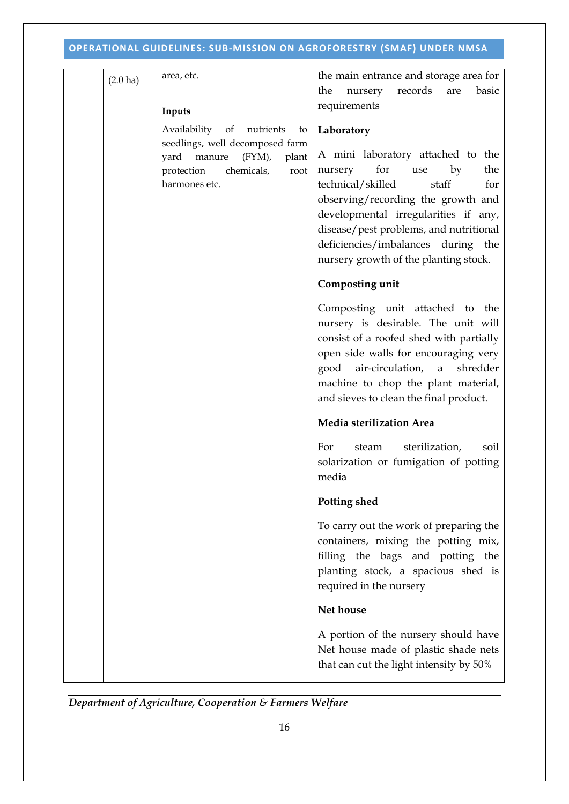| $(2.0 \text{ ha})$ | area, etc.                                                                                | the main entrance and storage area for                                                                                                                                                                                                                                                                              |
|--------------------|-------------------------------------------------------------------------------------------|---------------------------------------------------------------------------------------------------------------------------------------------------------------------------------------------------------------------------------------------------------------------------------------------------------------------|
|                    |                                                                                           | records<br>the<br>basic<br>nursery<br>are                                                                                                                                                                                                                                                                           |
|                    | Inputs                                                                                    | requirements                                                                                                                                                                                                                                                                                                        |
|                    | Availability of nutrients<br>to<br>seedlings, well decomposed farm                        | Laboratory                                                                                                                                                                                                                                                                                                          |
|                    | $(FYM)$ ,<br>yard<br>manure<br>plant<br>chemicals,<br>protection<br>root<br>harmones etc. | A mini laboratory attached to the<br>for<br>the<br>nursery<br>by<br>use<br>technical/skilled<br>staff<br>for<br>observing/recording the growth and<br>developmental irregularities if any,<br>disease/pest problems, and nutritional<br>deficiencies/imbalances during the<br>nursery growth of the planting stock. |
|                    |                                                                                           | Composting unit                                                                                                                                                                                                                                                                                                     |
|                    |                                                                                           | Composting unit attached to the<br>nursery is desirable. The unit will<br>consist of a roofed shed with partially<br>open side walls for encouraging very<br>air-circulation, a<br>shredder<br>good<br>machine to chop the plant material,<br>and sieves to clean the final product.                                |
|                    |                                                                                           | Media sterilization Area                                                                                                                                                                                                                                                                                            |
|                    |                                                                                           | sterilization,<br>For<br>steam<br>soil<br>solarization or fumigation of potting<br>media                                                                                                                                                                                                                            |
|                    |                                                                                           | Potting shed                                                                                                                                                                                                                                                                                                        |
|                    |                                                                                           | To carry out the work of preparing the<br>containers, mixing the potting mix,<br>filling the bags and potting the<br>planting stock, a spacious shed is<br>required in the nursery                                                                                                                                  |
|                    |                                                                                           | <b>Net house</b>                                                                                                                                                                                                                                                                                                    |
|                    |                                                                                           | A portion of the nursery should have<br>Net house made of plastic shade nets<br>that can cut the light intensity by 50%                                                                                                                                                                                             |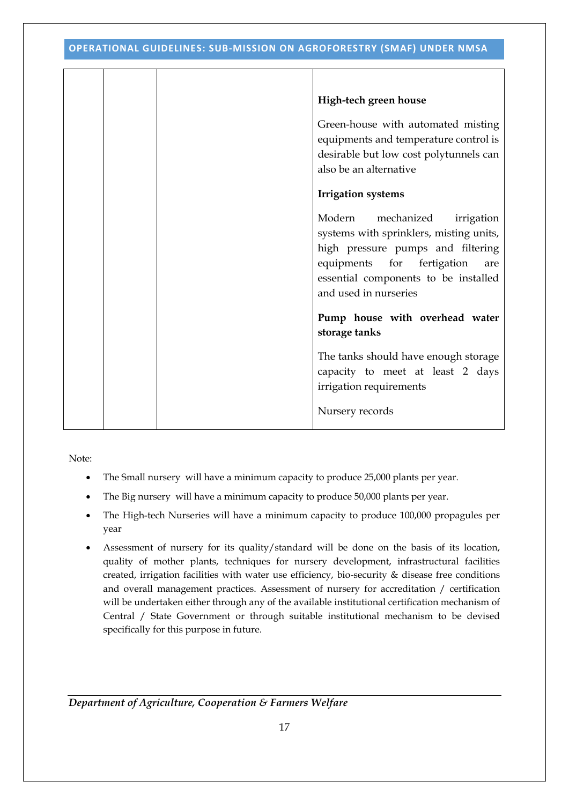|  | High-tech green house                                                                                                                                                                                                    |
|--|--------------------------------------------------------------------------------------------------------------------------------------------------------------------------------------------------------------------------|
|  | Green-house with automated misting<br>equipments and temperature control is<br>desirable but low cost polytunnels can<br>also be an alternative                                                                          |
|  | <b>Irrigation</b> systems                                                                                                                                                                                                |
|  | Modern<br>mechanized<br>irrigation<br>systems with sprinklers, misting units,<br>high pressure pumps and filtering<br>equipments for fertigation<br>are<br>essential components to be installed<br>and used in nurseries |
|  | Pump house with overhead water<br>storage tanks                                                                                                                                                                          |
|  | The tanks should have enough storage<br>capacity to meet at least 2 days<br>irrigation requirements                                                                                                                      |
|  | Nursery records                                                                                                                                                                                                          |

Note:

- The Small nursery will have a minimum capacity to produce 25,000 plants per year.
- The Big nursery will have a minimum capacity to produce 50,000 plants per year.
- The High-tech Nurseries will have a minimum capacity to produce 100,000 propagules per year
- Assessment of nursery for its quality/standard will be done on the basis of its location, quality of mother plants, techniques for nursery development, infrastructural facilities created, irrigation facilities with water use efficiency, bio-security & disease free conditions and overall management practices. Assessment of nursery for accreditation / certification will be undertaken either through any of the available institutional certification mechanism of Central / State Government or through suitable institutional mechanism to be devised specifically for this purpose in future.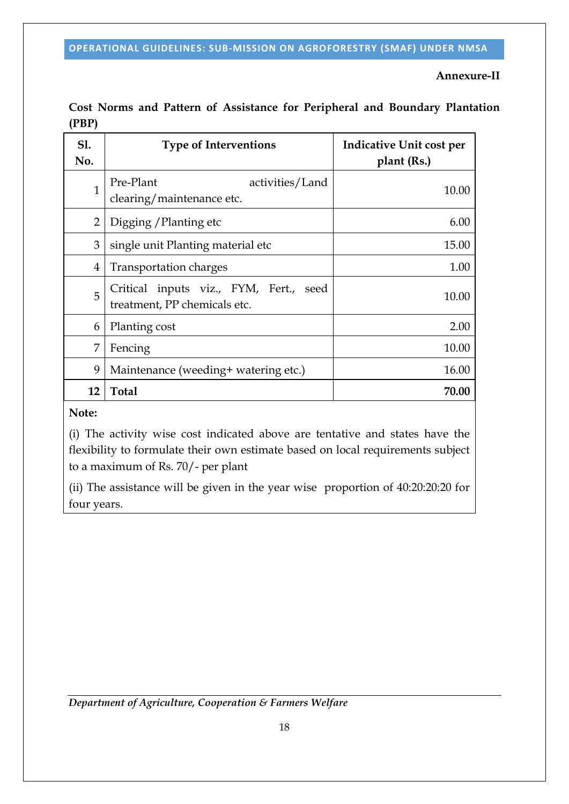# **Annexure-II**

| <b>S1.</b><br>No. | <b>Type of Interventions</b>                                              | Indicative Unit cost per<br>plant (Rs.) |
|-------------------|---------------------------------------------------------------------------|-----------------------------------------|
| 1                 | Pre-Plant<br>activities/Land<br>clearing/maintenance etc.                 | 10.00                                   |
| $\overline{2}$    | Digging / Planting etc                                                    | 6.00                                    |
| 3                 | single unit Planting material etc                                         | 15.00                                   |
| 4                 | Transportation charges                                                    | 1.00                                    |
| 5                 | Critical inputs viz., FYM, Fert.,<br>seed<br>treatment, PP chemicals etc. | 10.00                                   |
| 6                 | Planting cost                                                             | 2.00                                    |
| 7                 | Fencing                                                                   | 10.00                                   |
| 9                 | Maintenance (weeding+ watering etc.)                                      | 16.00                                   |
| 12                | <b>Total</b>                                                              | 70.00                                   |

**Cost Norms and Pattern of Assistance for Peripheral and Boundary Plantation (PBP)**

## **Note:**

(i) The activity wise cost indicated above are tentative and states have the flexibility to formulate their own estimate based on local requirements subject to a maximum of Rs. 70/- per plant

(ii) The assistance will be given in the year wise proportion of 40:20:20:20 for four years.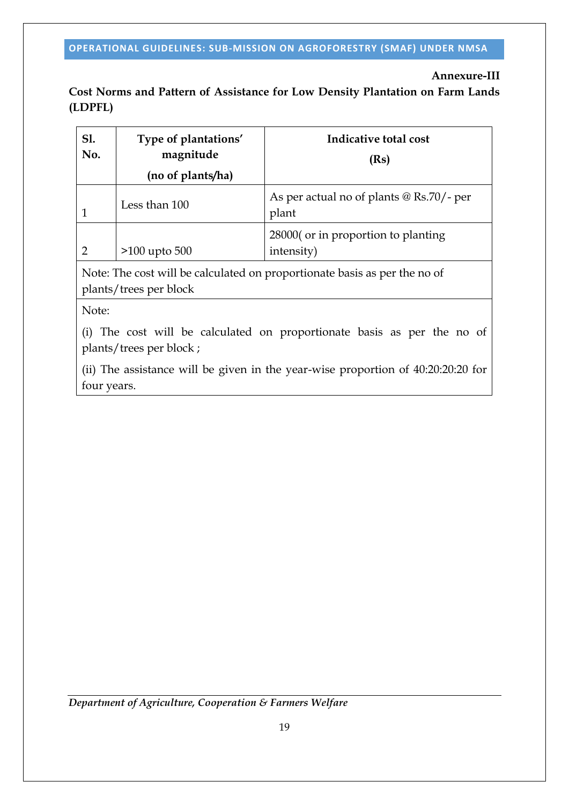# **Annexure-III**

**Cost Norms and Pattern of Assistance for Low Density Plantation on Farm Lands (LDPFL)**

| Sl.<br>No. | Type of plantations'<br>magnitude<br>(no of plants/ha) | Indicative total cost<br>(Rs)                     |
|------------|--------------------------------------------------------|---------------------------------------------------|
|            | Less than 100                                          | As per actual no of plants @ Rs.70/- per<br>plant |
|            | $>100$ upto 500                                        | 28000 (or in proportion to planting<br>intensity) |

Note: The cost will be calculated on proportionate basis as per the no of plants/trees per block

Note:

(i) The cost will be calculated on proportionate basis as per the no of plants/trees per block ;

(ii) The assistance will be given in the year-wise proportion of 40:20:20:20 for four years.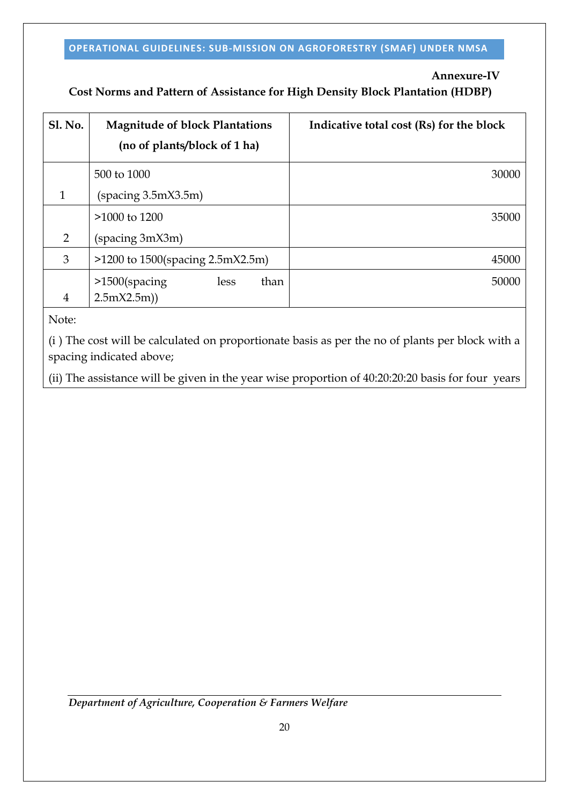# **Annexure-IV**

# **Cost Norms and Pattern of Assistance for High Density Block Plantation (HDBP)**

| <b>Sl. No.</b> | <b>Magnitude of block Plantations</b><br>(no of plants/block of 1 ha) | Indicative total cost (Rs) for the block |
|----------------|-----------------------------------------------------------------------|------------------------------------------|
|                | 500 to 1000                                                           | 30000                                    |
| 1              | (spacing 3.5mX3.5m)                                                   |                                          |
|                | >1000 to 1200                                                         | 35000                                    |
| $\overline{2}$ | (spacing 3mX3m)                                                       |                                          |
| 3              | $>1200$ to 1500(spacing 2.5mX2.5m)                                    | 45000                                    |
| 4              | than<br>>1500(spacing<br>less<br>2.5mX2.5m)                           | 50000                                    |

Note:

(i ) The cost will be calculated on proportionate basis as per the no of plants per block with a spacing indicated above;

(ii) The assistance will be given in the year wise proportion of 40:20:20:20 basis for four years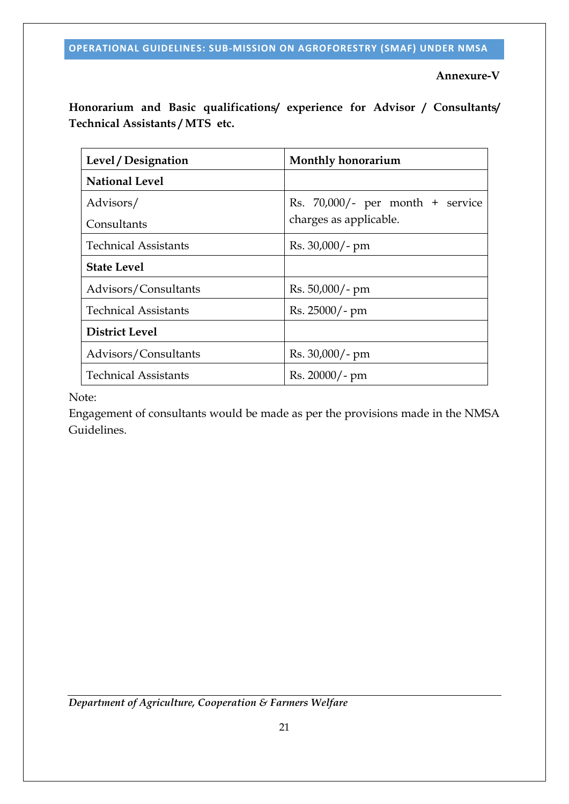**Annexure-V**

**Honorarium and Basic qualifications/ experience for Advisor / Consultants/ Technical Assistants / MTS etc.**

| Level / Designation         | Monthly honorarium                                            |  |
|-----------------------------|---------------------------------------------------------------|--|
| <b>National Level</b>       |                                                               |  |
| Advisors/<br>Consultants    | Rs. $70,000/$ - per month + service<br>charges as applicable. |  |
| <b>Technical Assistants</b> | Rs. 30,000/- pm                                               |  |
| <b>State Level</b>          |                                                               |  |
| Advisors/Consultants        | $Rs. 50,000/- pm$                                             |  |
| <b>Technical Assistants</b> | Rs. 25000/- pm                                                |  |
| <b>District Level</b>       |                                                               |  |
| Advisors/Consultants        | $Rs. 30,000/- pm$                                             |  |
| <b>Technical Assistants</b> | Rs. 20000/- pm                                                |  |

Note:

Engagement of consultants would be made as per the provisions made in the NMSA Guidelines.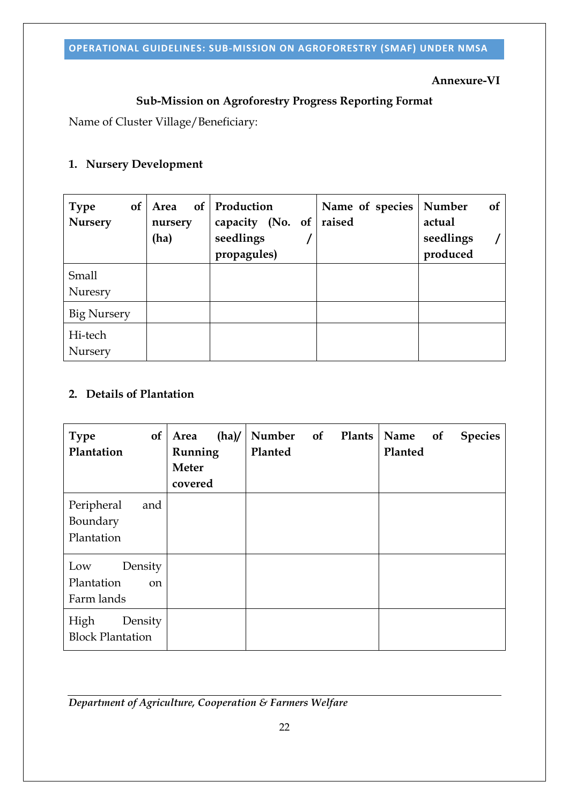### **Annexure-VI**

# **Sub-Mission on Agroforestry Progress Reporting Format**

Name of Cluster Village/Beneficiary:

# **1. Nursery Development**

| <b>Type</b><br><b>of</b><br><b>Nursery</b> | <b>of</b><br>Area<br>nursery<br>(ha) | Production<br>capacity (No. of<br>seedlings<br>propagules) | Name of species<br>raised | Number<br><b>of</b><br>actual<br>seedlings<br>produced |
|--------------------------------------------|--------------------------------------|------------------------------------------------------------|---------------------------|--------------------------------------------------------|
| <b>Small</b><br>Nuresry                    |                                      |                                                            |                           |                                                        |
| <b>Big Nursery</b>                         |                                      |                                                            |                           |                                                        |
| Hi-tech<br>Nursery                         |                                      |                                                            |                           |                                                        |

# **2. Details of Plantation**

| of<br><b>Type</b><br>Plantation                             | (ha)<br>Area<br>Running<br><b>Meter</b><br>covered | Number of Plants<br>Planted | Name<br>of<br><b>Species</b><br>Planted |
|-------------------------------------------------------------|----------------------------------------------------|-----------------------------|-----------------------------------------|
| Peripheral<br>and<br>Boundary<br>Plantation                 |                                                    |                             |                                         |
| Density<br>Low<br>Plantation<br><sub>on</sub><br>Farm lands |                                                    |                             |                                         |
| High<br>Density<br><b>Block Plantation</b>                  |                                                    |                             |                                         |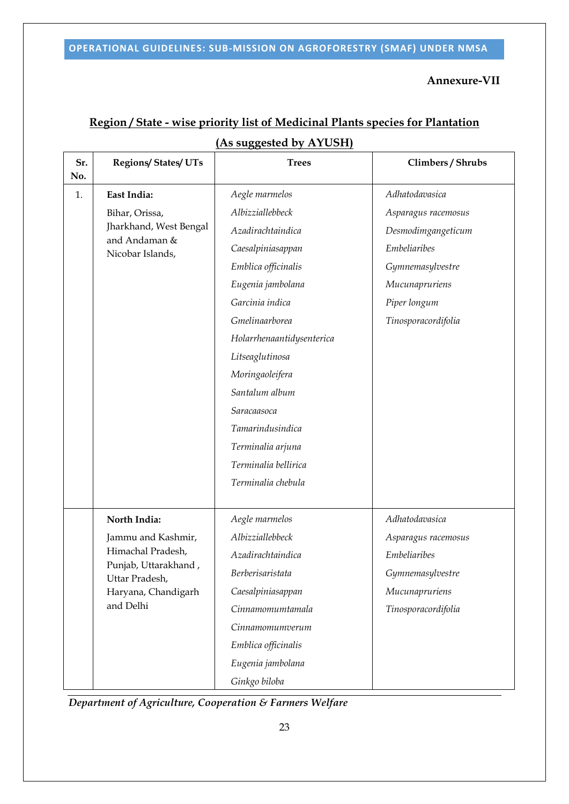### **Annexure-VII**

| Sr.<br>No. | <b>Regions/States/UTs</b>              | <b>Trees</b>              | Climbers / Shrubs   |
|------------|----------------------------------------|---------------------------|---------------------|
| 1.         | East India:                            | Aegle marmelos            | Adhatodavasica      |
|            | Bihar, Orissa,                         | Albizziallebbeck          | Asparagus racemosus |
|            | Jharkhand, West Bengal                 | Azadirachtaindica         | Desmodimgangeticum  |
|            | and Andaman &<br>Nicobar Islands,      | Caesalpiniasappan         | <b>Embeliaribes</b> |
|            |                                        | Emblica officinalis       | Gymnemasylvestre    |
|            |                                        | Eugenia jambolana         | Mucunapruriens      |
|            |                                        | Garcinia indica           | Piper longum        |
|            |                                        | Gmelinaarborea            | Tinosporacordifolia |
|            |                                        | Holarrhenaantidysenterica |                     |
|            |                                        | Litseaglutinosa           |                     |
|            |                                        | Moringaoleifera           |                     |
|            |                                        | Santalum album            |                     |
|            |                                        | Saracaasoca               |                     |
|            |                                        | Tamarindusindica          |                     |
|            |                                        | Terminalia arjuna         |                     |
|            |                                        | Terminalia bellirica      |                     |
|            |                                        | Terminalia chebula        |                     |
|            |                                        |                           |                     |
|            | North India:                           | Aegle marmelos            | Adhatodavasica      |
|            | Jammu and Kashmir,                     | Albizziallebbeck          | Asparagus racemosus |
|            | Himachal Pradesh,                      | Azadirachtaindica         | <b>Embeliaribes</b> |
|            | Punjab, Uttarakhand,<br>Uttar Pradesh, | <b>Berberisaristata</b>   | Gymnemasylvestre    |
|            | Haryana, Chandigarh                    | Caesalpiniasappan         | Mucunapruriens      |
|            | and Delhi                              | Cinnamomumtamala          | Tinosporacordifolia |
|            |                                        | Cinnamomumverum           |                     |
|            |                                        | Emblica officinalis       |                     |
|            |                                        | Eugenia jambolana         |                     |
|            |                                        | Ginkgo biloba             |                     |

# **Region / State - wise priority list of Medicinal Plants species for Plantation (As suggested by AYUSH)**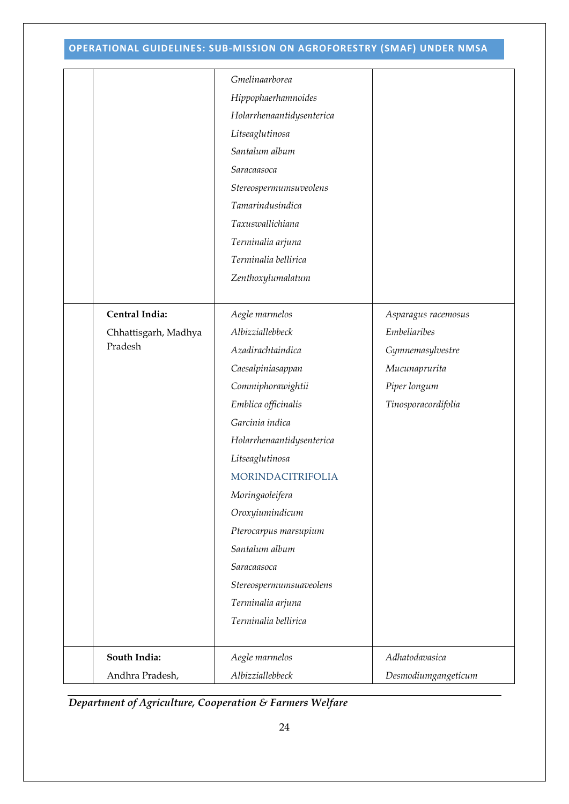| Gmelinaarborea<br>Hippophaerhamnoides<br>Holarrhenaantidysenterica<br>Litseaglutinosa<br>Santalum album<br>Saracaasoca<br>Stereospermumsuveolens<br>Tamarindusindica<br>Taxuswallichiana<br>Terminalia arjuna<br>Terminalia bellirica<br>Zenthoxylumalatum<br>Central India:<br>Aegle marmelos<br>Asparagus racemosus<br>Albizziallebbeck<br><b>Embeliaribes</b><br>Chhattisgarh, Madhya<br>Pradesh<br>Azadirachtaindica<br>Gymnemasylvestre<br>Caesalpiniasappan<br>Mucunaprurita<br>Commiphorawightii<br>Piper longum<br>Emblica officinalis<br>Tinosporacordifolia<br>Garcinia indica<br>Holarrhenaantidysenterica<br>Litseaglutinosa<br>MORINDACITRIFOLIA<br>Moringaoleifera<br>Oroxyiumindicum<br>Pterocarpus marsupium<br>Santalum album<br>Saracaasoca<br>Stereospermumsuaveolens<br>Terminalia arjuna<br>Terminalia bellirica<br>South India:<br>Aegle marmelos<br>Adhatodavasica |                 |                  |                     |
|-------------------------------------------------------------------------------------------------------------------------------------------------------------------------------------------------------------------------------------------------------------------------------------------------------------------------------------------------------------------------------------------------------------------------------------------------------------------------------------------------------------------------------------------------------------------------------------------------------------------------------------------------------------------------------------------------------------------------------------------------------------------------------------------------------------------------------------------------------------------------------------------|-----------------|------------------|---------------------|
|                                                                                                                                                                                                                                                                                                                                                                                                                                                                                                                                                                                                                                                                                                                                                                                                                                                                                           |                 |                  |                     |
|                                                                                                                                                                                                                                                                                                                                                                                                                                                                                                                                                                                                                                                                                                                                                                                                                                                                                           |                 |                  |                     |
|                                                                                                                                                                                                                                                                                                                                                                                                                                                                                                                                                                                                                                                                                                                                                                                                                                                                                           |                 |                  |                     |
|                                                                                                                                                                                                                                                                                                                                                                                                                                                                                                                                                                                                                                                                                                                                                                                                                                                                                           |                 |                  |                     |
|                                                                                                                                                                                                                                                                                                                                                                                                                                                                                                                                                                                                                                                                                                                                                                                                                                                                                           |                 |                  |                     |
|                                                                                                                                                                                                                                                                                                                                                                                                                                                                                                                                                                                                                                                                                                                                                                                                                                                                                           |                 |                  |                     |
|                                                                                                                                                                                                                                                                                                                                                                                                                                                                                                                                                                                                                                                                                                                                                                                                                                                                                           |                 |                  |                     |
|                                                                                                                                                                                                                                                                                                                                                                                                                                                                                                                                                                                                                                                                                                                                                                                                                                                                                           |                 |                  |                     |
|                                                                                                                                                                                                                                                                                                                                                                                                                                                                                                                                                                                                                                                                                                                                                                                                                                                                                           |                 |                  |                     |
|                                                                                                                                                                                                                                                                                                                                                                                                                                                                                                                                                                                                                                                                                                                                                                                                                                                                                           |                 |                  |                     |
|                                                                                                                                                                                                                                                                                                                                                                                                                                                                                                                                                                                                                                                                                                                                                                                                                                                                                           |                 |                  |                     |
|                                                                                                                                                                                                                                                                                                                                                                                                                                                                                                                                                                                                                                                                                                                                                                                                                                                                                           |                 |                  |                     |
|                                                                                                                                                                                                                                                                                                                                                                                                                                                                                                                                                                                                                                                                                                                                                                                                                                                                                           |                 |                  |                     |
|                                                                                                                                                                                                                                                                                                                                                                                                                                                                                                                                                                                                                                                                                                                                                                                                                                                                                           |                 |                  |                     |
|                                                                                                                                                                                                                                                                                                                                                                                                                                                                                                                                                                                                                                                                                                                                                                                                                                                                                           |                 |                  |                     |
|                                                                                                                                                                                                                                                                                                                                                                                                                                                                                                                                                                                                                                                                                                                                                                                                                                                                                           |                 |                  |                     |
|                                                                                                                                                                                                                                                                                                                                                                                                                                                                                                                                                                                                                                                                                                                                                                                                                                                                                           |                 |                  |                     |
|                                                                                                                                                                                                                                                                                                                                                                                                                                                                                                                                                                                                                                                                                                                                                                                                                                                                                           |                 |                  |                     |
|                                                                                                                                                                                                                                                                                                                                                                                                                                                                                                                                                                                                                                                                                                                                                                                                                                                                                           |                 |                  |                     |
|                                                                                                                                                                                                                                                                                                                                                                                                                                                                                                                                                                                                                                                                                                                                                                                                                                                                                           |                 |                  |                     |
|                                                                                                                                                                                                                                                                                                                                                                                                                                                                                                                                                                                                                                                                                                                                                                                                                                                                                           |                 |                  |                     |
|                                                                                                                                                                                                                                                                                                                                                                                                                                                                                                                                                                                                                                                                                                                                                                                                                                                                                           |                 |                  |                     |
|                                                                                                                                                                                                                                                                                                                                                                                                                                                                                                                                                                                                                                                                                                                                                                                                                                                                                           |                 |                  |                     |
|                                                                                                                                                                                                                                                                                                                                                                                                                                                                                                                                                                                                                                                                                                                                                                                                                                                                                           |                 |                  |                     |
|                                                                                                                                                                                                                                                                                                                                                                                                                                                                                                                                                                                                                                                                                                                                                                                                                                                                                           |                 |                  |                     |
|                                                                                                                                                                                                                                                                                                                                                                                                                                                                                                                                                                                                                                                                                                                                                                                                                                                                                           |                 |                  |                     |
|                                                                                                                                                                                                                                                                                                                                                                                                                                                                                                                                                                                                                                                                                                                                                                                                                                                                                           |                 |                  |                     |
|                                                                                                                                                                                                                                                                                                                                                                                                                                                                                                                                                                                                                                                                                                                                                                                                                                                                                           |                 |                  |                     |
|                                                                                                                                                                                                                                                                                                                                                                                                                                                                                                                                                                                                                                                                                                                                                                                                                                                                                           |                 |                  |                     |
|                                                                                                                                                                                                                                                                                                                                                                                                                                                                                                                                                                                                                                                                                                                                                                                                                                                                                           |                 |                  |                     |
|                                                                                                                                                                                                                                                                                                                                                                                                                                                                                                                                                                                                                                                                                                                                                                                                                                                                                           |                 |                  |                     |
|                                                                                                                                                                                                                                                                                                                                                                                                                                                                                                                                                                                                                                                                                                                                                                                                                                                                                           |                 |                  |                     |
|                                                                                                                                                                                                                                                                                                                                                                                                                                                                                                                                                                                                                                                                                                                                                                                                                                                                                           |                 |                  |                     |
|                                                                                                                                                                                                                                                                                                                                                                                                                                                                                                                                                                                                                                                                                                                                                                                                                                                                                           | Andhra Pradesh, | Albizziallebbeck | Desmodiumgangeticum |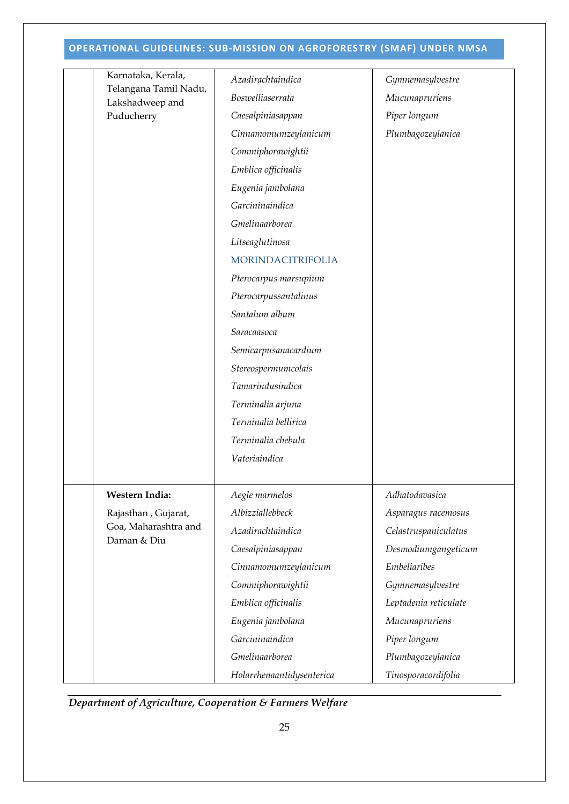|  | Karnataka, Kerala,                                         | Azadirachtaindica         | Gymnemasylvestre      |  |  |
|--|------------------------------------------------------------|---------------------------|-----------------------|--|--|
|  | Telangana Tamil Nadu,                                      | Boswelliaserrata          | Mucunapruriens        |  |  |
|  | Lakshadweep and<br>Puducherry                              | Caesalpiniasappan         | Piper longum          |  |  |
|  |                                                            | Cinnamomumzeylanicum      | Plumbagozeylanica     |  |  |
|  |                                                            | Commiphorawightii         |                       |  |  |
|  |                                                            | Emblica officinalis       |                       |  |  |
|  |                                                            | Eugenia jambolana         |                       |  |  |
|  |                                                            | Garcininaindica           |                       |  |  |
|  |                                                            | Gmelinaarborea            |                       |  |  |
|  |                                                            | Litseaglutinosa           |                       |  |  |
|  |                                                            | MORINDACITRIFOLIA         |                       |  |  |
|  |                                                            | Pterocarpus marsupium     |                       |  |  |
|  |                                                            | Pterocarpussantalinus     |                       |  |  |
|  |                                                            | Santalum album            |                       |  |  |
|  |                                                            | Saracaasoca               |                       |  |  |
|  |                                                            | Semicarpusanacardium      |                       |  |  |
|  |                                                            | Stereospermumcolais       |                       |  |  |
|  |                                                            | Tamarindusindica          |                       |  |  |
|  |                                                            | Terminalia arjuna         |                       |  |  |
|  |                                                            | Terminalia bellirica      |                       |  |  |
|  |                                                            | Terminalia chebula        |                       |  |  |
|  |                                                            | Vateriaindica             |                       |  |  |
|  |                                                            |                           |                       |  |  |
|  | Western India:                                             | Aegle marmelos            | Adhatodavasica        |  |  |
|  | Rajasthan, Gujarat,<br>Goa, Maharashtra and<br>Daman & Diu | Albizziallebbeck          | Asparagus racemosus   |  |  |
|  |                                                            | Azadirachtaindica         | Celastruspaniculatus  |  |  |
|  |                                                            | Caesalpiniasappan         | Desmodiumgangeticum   |  |  |
|  |                                                            | Cinnamomumzeylanicum      | <b>Embeliaribes</b>   |  |  |
|  |                                                            | Commiphorawightii         | Gymnemasylvestre      |  |  |
|  |                                                            | Emblica officinalis       | Leptadenia reticulate |  |  |
|  |                                                            | Eugenia jambolana         | Mucunapruriens        |  |  |
|  |                                                            | Garcininaindica           | Piper longum          |  |  |
|  |                                                            | Gmelinaarborea            | Plumbagozeylanica     |  |  |
|  |                                                            | Holarrhenaantidysenterica | Tinosporacordifolia   |  |  |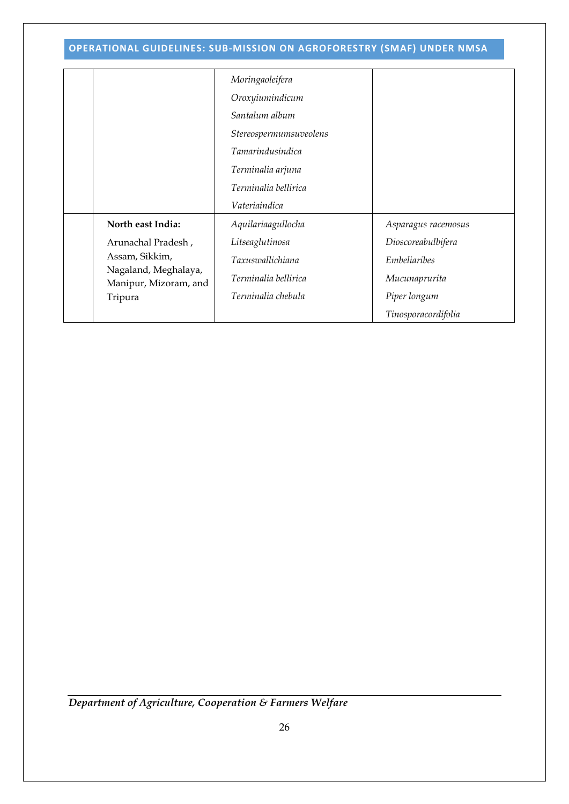|                                               | Moringaoleifera         |                     |
|-----------------------------------------------|-------------------------|---------------------|
|                                               | Oroxyiumindicum         |                     |
|                                               | Santalum album          |                     |
|                                               | Stereospermumsuveolens  |                     |
|                                               | <b>Tamarindusindica</b> |                     |
|                                               | Terminalia arjuna       |                     |
|                                               | Terminalia bellirica    |                     |
|                                               | Vateriaindica           |                     |
| North east India:                             | Aquilariaagullocha      | Asparagus racemosus |
| Arunachal Pradesh,                            | Litseaglutinosa         | Dioscoreabulbifera  |
| Assam, Sikkim,                                | Taxuswallichiana        | Embeliaribes        |
| Nagaland, Meghalaya,<br>Manipur, Mizoram, and | Terminalia bellirica    | Mucunaprurita       |
| Tripura                                       | Terminalia chebula      | Piper longum        |
|                                               |                         | Tinosporacordifolia |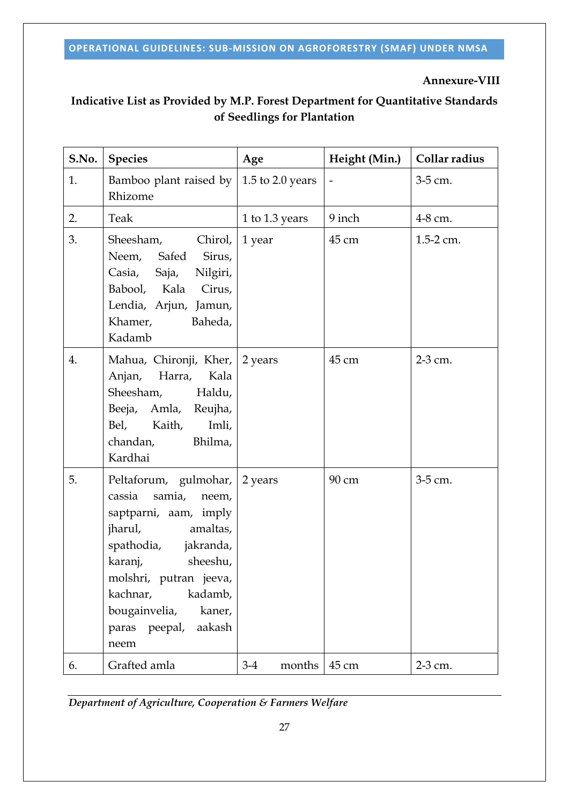# **Annexure-VIII**

# **Indicative List as Provided by M.P. Forest Department for Quantitative Standards of Seedlings for Plantation**

| S.No. | <b>Species</b>                                                                                                                                                                                                                                                     | Age              | Height (Min.)  | Collar radius |
|-------|--------------------------------------------------------------------------------------------------------------------------------------------------------------------------------------------------------------------------------------------------------------------|------------------|----------------|---------------|
| 1.    | Bamboo plant raised by<br>Rhizome                                                                                                                                                                                                                                  | 1.5 to 2.0 years | $\overline{a}$ | 3-5 cm.       |
| 2.    | Teak                                                                                                                                                                                                                                                               | 1 to 1.3 years   | 9 inch         | 4-8 cm.       |
| 3.    | Sheesham,<br>Chirol,<br>Neem, Safed<br>Sirus,<br>Casia, Saja, Nilgiri,<br>Babool, Kala<br>Cirus,<br>Lendia, Arjun, Jamun,<br>Khamer,<br>Baheda,<br>Kadamb                                                                                                          | 1 year           | 45 cm          | 1.5-2 cm.     |
| 4.    | Mahua, Chironji, Kher,<br>Anjan, Harra,<br>Kala<br>Sheesham,<br>Haldu,<br>Beeja, Amla, Reujha,<br>Bel, Kaith,<br>Imli,<br>chandan,<br>Bhilma,<br>Kardhai                                                                                                           | 2 years          | 45 cm          | 2-3 cm.       |
| 5.    | Peltaforum, gulmohar, 2 years<br>samia,<br>cassia<br>neem,<br>saptparni, aam, imply<br>jharul, amaltas,<br>spathodia, jakranda,<br>karanj, sheeshu,<br>molshri, putran jeeva,<br>kachnar,<br>kadamb,<br>bougainvelia,<br>kaner,<br>paras peepal,<br>aakash<br>neem |                  | 90 cm          | 3-5 cm.       |
| 6.    | Grafted amla                                                                                                                                                                                                                                                       | $3-4$<br>months  | 45 cm          | 2-3 cm.       |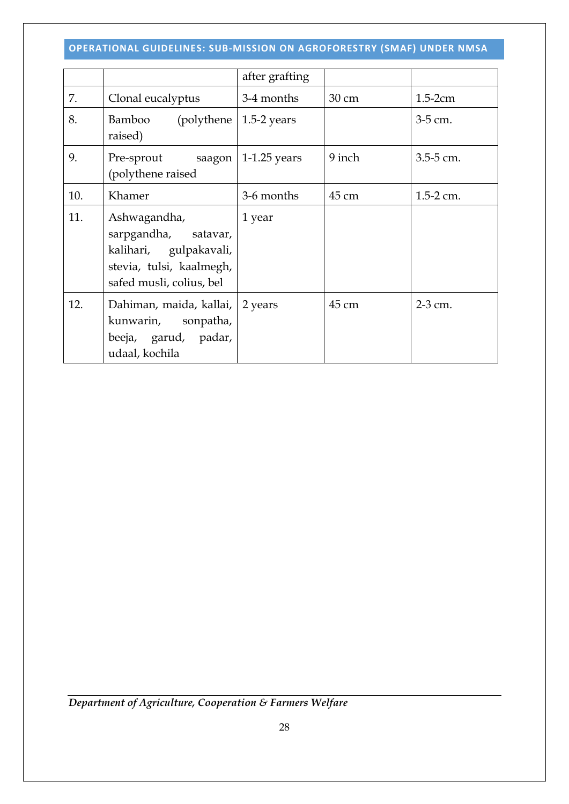|     |                                                                                                                        | after grafting |        |               |
|-----|------------------------------------------------------------------------------------------------------------------------|----------------|--------|---------------|
| 7.  | Clonal eucalyptus                                                                                                      | 3-4 months     | 30 cm  | $1.5-2cm$     |
| 8.  | (polythene   $1.5-2$ years<br>Bamboo<br>raised)                                                                        |                |        | 3-5 cm.       |
| 9.  | Pre-sprout saagon   1-1.25 years<br>(polythene raised                                                                  |                | 9 inch | 3.5-5 cm.     |
| 10. | Khamer                                                                                                                 | 3-6 months     | 45 cm  | $1.5 - 2$ cm. |
| 11. | Ashwagandha,<br>sarpgandha, satavar,<br>kalihari, gulpakavali,<br>stevia, tulsi, kaalmegh,<br>safed musli, colius, bel | 1 year         |        |               |
| 12. | Dahiman, maida, kallai,<br>kunwarin, sonpatha,<br>beeja, garud, padar,<br>udaal, kochila                               | 2 years        | 45 cm  | 2-3 cm.       |